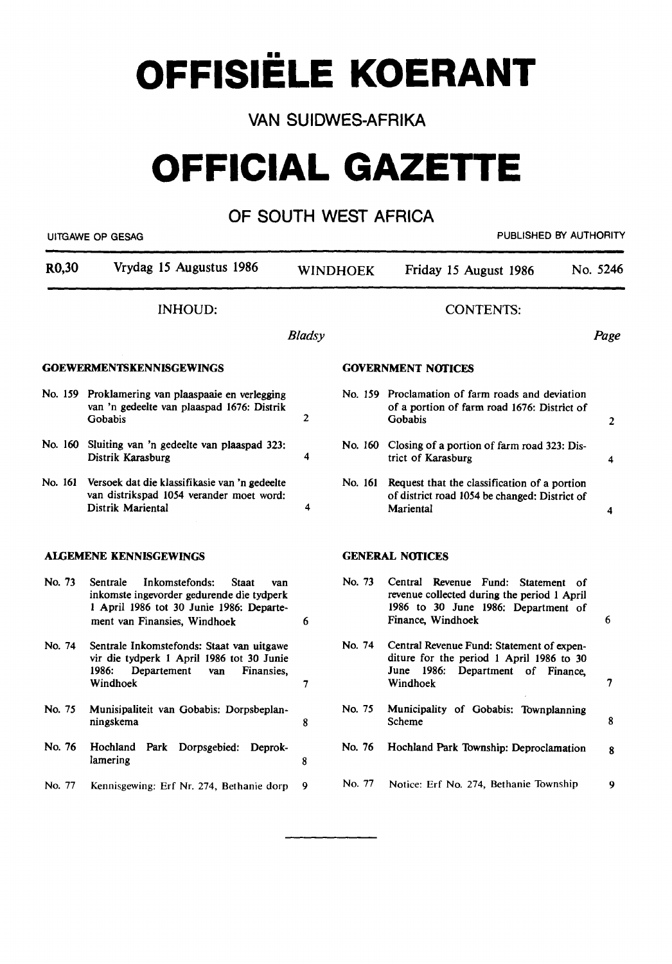**OFFISIELE KOERANT** 

VAN SUIDWES-AFRIKA

# **OFFICIAL GAZETTE**

# OF SOUTH WEST AFRICA

| R <sub>0</sub> ,30 | Vrydag 15 Augustus 1986                                                                                                                                                    | <b>WINDHOEK</b> |         | Friday 15 August 1986                                                                                                                         | No. 5246       |
|--------------------|----------------------------------------------------------------------------------------------------------------------------------------------------------------------------|-----------------|---------|-----------------------------------------------------------------------------------------------------------------------------------------------|----------------|
|                    | <b>INHOUD:</b>                                                                                                                                                             |                 |         | <b>CONTENTS:</b>                                                                                                                              |                |
|                    |                                                                                                                                                                            | <b>Bladsy</b>   |         |                                                                                                                                               | Page           |
|                    | <b>GOEWERMENTSKENNISGEWINGS</b>                                                                                                                                            |                 |         | <b>GOVERNMENT NOTICES</b>                                                                                                                     |                |
|                    | No. 159 Proklamering van plaaspaaie en verlegging<br>van 'n gedeelte van plaaspad 1676: Distrik<br>Gobabis                                                                 | $\overline{2}$  |         | No. 159 Proclamation of farm roads and deviation<br>of a portion of farm road 1676: District of<br>Gobabis                                    | $\overline{2}$ |
|                    | No. 160 Sluiting van 'n gedeelte van plaaspad 323:<br>Distrik Karasburg                                                                                                    | 4               |         | No. 160 Closing of a portion of farm road 323: Dis-<br>trict of Karasburg                                                                     | 4              |
| No. 161            | Versoek dat die klassifikasie van 'n gedeelte<br>van distrikspad 1054 verander moet word:<br>Distrik Mariental                                                             | 4               | No. 161 | Request that the classification of a portion<br>of district road 1054 be changed: District of<br>Mariental                                    | 4              |
|                    | <b>ALGEMENE KENNISGEWINGS</b>                                                                                                                                              |                 |         | <b>GENERAL NOTICES</b>                                                                                                                        |                |
| No. 73             | Inkomstefonds:<br>Sentrale<br><b>Staat</b><br>van<br>inkomste ingevorder gedurende die tydperk<br>1 April 1986 tot 30 Junie 1986: Departe-<br>ment van Finansies, Windhoek | 6               | No. 73  | Central Revenue Fund: Statement of<br>revenue collected during the period 1 April<br>1986 to 30 June 1986: Department of<br>Finance, Windhoek | 6              |
| No. 74             | Sentrale Inkomstefonds: Staat van uitgawe<br>vir die tydperk 1 April 1986 tot 30 Junie<br>1986:<br>Departement<br>Finansies.<br>van<br>Windhoek                            | $\overline{7}$  | No. 74  | Central Revenue Fund: Statement of expen-<br>diture for the period 1 April 1986 to 30<br>June 1986: Department of Finance,<br>Windhoek        | 7              |
| No. 75             | Munisipaliteit van Gobabis: Dorpsbeplan-<br>ningskema                                                                                                                      | 8               | No. 75  | Municipality of Gobabis: Townplanning<br>Scheme                                                                                               | 8              |
| No. 76             | Hochland Park Dorpsgebied: Deprok-<br>lamering                                                                                                                             | 8               | No. 76  | Hochland Park Township: Deproclamation                                                                                                        | 8              |
| No. 77             | Kennisgewing: Erf Nr. 274, Bethanie dorp                                                                                                                                   | 9               | No. 77  | Notice: Erf No. 274, Bethanie Township                                                                                                        | 9              |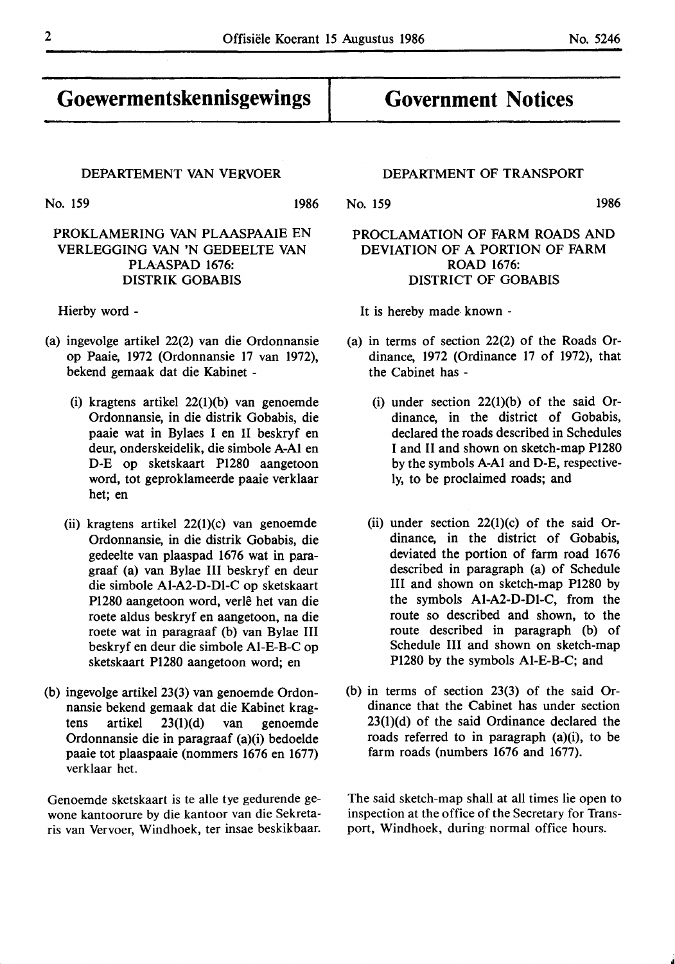**Goewermentskennisgewings** 

No. 159 1986

# PROKLAMERING VAN PLAASPAAIE EN VERLEGGING **VAN 'N** GEDEELTE VAN PLAASPAD 1676: **DISTRIK** GOBABIS

Hierby word -

- (a) ingevolge artikel 22(2) van die Ordonnansie op Paaie, 1972 (Ordonnansie 17 van 1972), bekend gemaak dat die Kabinet -
	- (i) kragtens artikel 22(1)(b) van genoemde Ordonnansie, in die distrik Gobabis, die paaie wat in Bylaes I en II beskryf en deur, onderskeidelik, die simbole **A-Al** en D-E op sketskaart P1280 aangetoon word, tot geproklameerde paaie verklaar het; en
	- (ii) kragtens artikel 22(1)(c) van genoemde Ordonnansie, in die distrik Gobabis, die gedeelte van plaaspad 1676 wat in paragraaf (a) van Bylae III beskryf en deur die simbole Al-A2-D-Dl-C op sketskaart P1280 aangetoon word, verle het van die roete aldus beskryf en aangetoon, na die roete wat in paragraaf (b) van Bylae III beskryf en deur die simbole Al-E-B-C op sketskaart P1280 aangetoon word; en
- (b) ingevolge artikel 23(3) van genoemde Ordonnansie bekend gemaak dat die Kabinet kragtens artikel 23(1)(d) van genoemde Ordonnansie die in paragraaf (a)(i) bedoelde paaie tot plaaspaaie (nommers 1676 en 1677) verklaar het.

Genoemde sketskaart is te alle tye gedurende gewone kantoorure by die kantoor van die Sekretaris van Vervoer, Windhoek, ter insae beskikbaar.

# DEPARTMENT OF TRANSPORT

**Government Notices** 

No. 159 1986

# PROCLAMATION OF **FARM ROADS AND**  DEVIATION OF **A PORTION** OF **FARM ROAD** 1676: DISTRICT OF GOBABIS

It is hereby made known -

- (a) in terms of section 22(2) of the Roads Ordinance, 1972 (Ordinance 17 of 1972), that the Cabinet has -
	- (i) under section  $22(1)(b)$  of the said Ordinance, in the district of Gobabis, declared the roads described in Schedules I and II and shown on sketch-map P1280 by the symbols **A-Al** and D-E, respectively, to be proclaimed roads; and
	- (ii) under section  $22(1)(c)$  of the said Ordinance, in the district of Gobabis, deviated the portion of farm road 1676 described in paragraph (a) of Schedule III and shown on sketch-map P1280 by the symbols **Al-A2-D-Dl-C,** from the route so described and shown, to the route described in paragraph (b) of Schedule III and shown on sketch-map P1280 by the symbols Al-E-B-C; and
- (b) in terms of section 23(3) of the said Ordinance that the Cabinet has under section 23(1)(d) of the said Ordinance declared the roads referred to in paragraph (a)(i), to be farm roads (numbers 1676 and 1677).

The said sketch-map shall at all times lie open to inspection at the office of the Secretary for Transport, Windhoek, during normal office hours.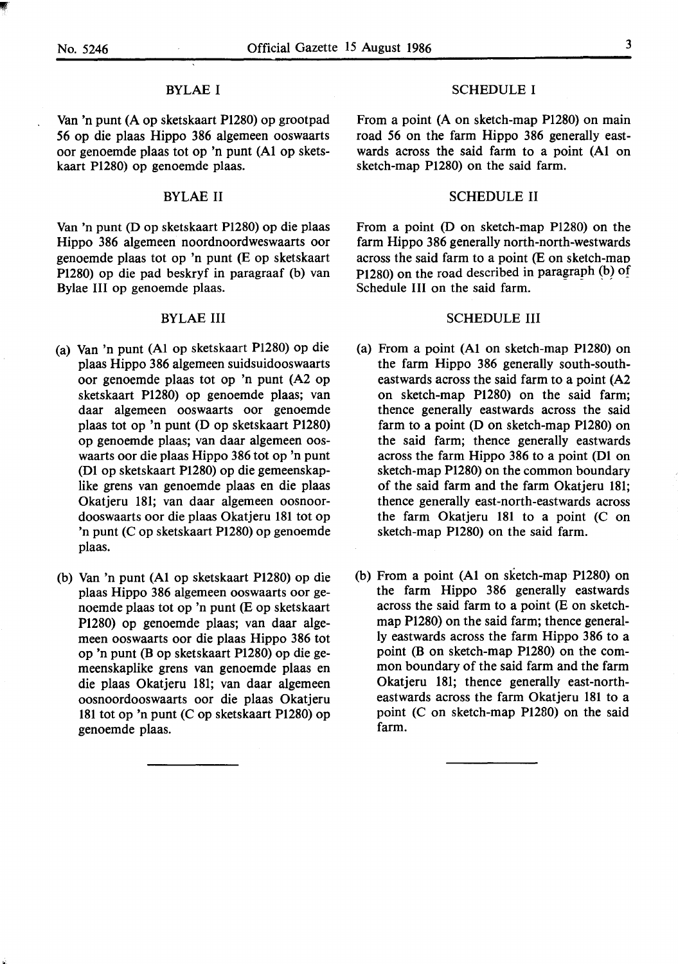If

#### BYLAE I

Van 'n punt (A op sketskaart P1280) op grootpad 56 op die plaas Hippo 386 algemeen ooswaarts oor genoemde plaas tot op 'n punt (Al op sketskaart Pl280) op genoemde plaas.

## BYLAE II

Van 'n punt (D op sketskaart Pl280) op die plaas Hippo 386 algemeen noordnoordweswaarts oor genoemde plaas tot op 'n punt (E op sketskaart P1280) op die pad beskryf in paragraaf (b) van Bylae Ill op genoemde plaas.

#### BYLAE III

- (a) Van 'n punt (Al op sketskaart Pl280) op die plaas Hippo 386 algemeen suidsuidooswaarts oor genoemde plaas tot op 'n punt (A2 op sketskaart P1280) op genoemde plaas; van daar algemeen ooswaarts oor genoemde plaas tot op 'n punt (D op sketskaart P1280) op genoemde plaas; van daar algemeen ooswaarts oor die plaas Hippo 386 tot op 'n punt (D1 op sketskaart P1280) op die gemeenskaplike grens van genoemde plaas en die plaas Okatjeru 181; van daar algemeen oosnoordooswaarts oor die plaas Okatjeru 181 tot op 'n punt (C op sketskaart P1280) op genoemde plaas.
- (b) Van 'n punt (Al op sketskaart P1280) op die plaas Hippo 386 algemeen ooswaarts oor genoemde plaas tot op 'n punt (E op sketskaart P1280) op genoemde plaas; van daar algemeen ooswaarts oor die plaas Hippo 386 tot op 'n punt (B op sketskaart **P1280)** op die gemeenskaplike grens van genoemde plaas en die plaas Okatjeru 181; van daar algemeen oosnoordooswaarts oor die plaas Okatjeru 181 tot op 'n punt (C op sketskaart P1280) op genoemde plaas.

#### SCHEDULE I

From a point (A on sketch-map P1280) on main road 56 on the farm Hippo 386 generally eastwards across the said farm to a point (Al on sketch-map Pl280) on the said farm.

#### SCHEDULE II

From a point (D on sketch-map Pl280) on the farm Hippo 386 generally north-north-westwards across the said farm to a point (E on sketch-mao P1280) on the road described in paragraph  $(b)$  of Schedule III on the said farm.

#### SCHEDULE III

- (a) From a point (Al on sketch-map P1280) on the farm Hippo 386 generally south-southeastwards across the said farm to a point (A2 on sketch-map P1280) on the said farm; thence generally eastwards across the said farm to a point (D on sketch-map Pl280) on the said farm; thence generally eastwards across the farm Hippo 386 to a point (Dl on sketch-map P1280) on the common boundary of the said farm and the farm Okatjeru 181; thence generally east-north-eastwards across the farm Okatjeru 181 to a point (C on sketch-map P1280) on the said farm.
- (b) From a point (Al on sketch-map P1280) on the farm Hippo 386 generally eastwards across the said farm to a point (E on sketchmap P1280) on the said farm; thence generally eastwards across the farm Hippo 386 to a point (B on sketch-map P1280) on the common boundary of the said farm and the farm Okatjeru 181; thence generally east-northeastwards across the farm Okatjeru 181 to a point (C on sketch-map P1280) on the said farm.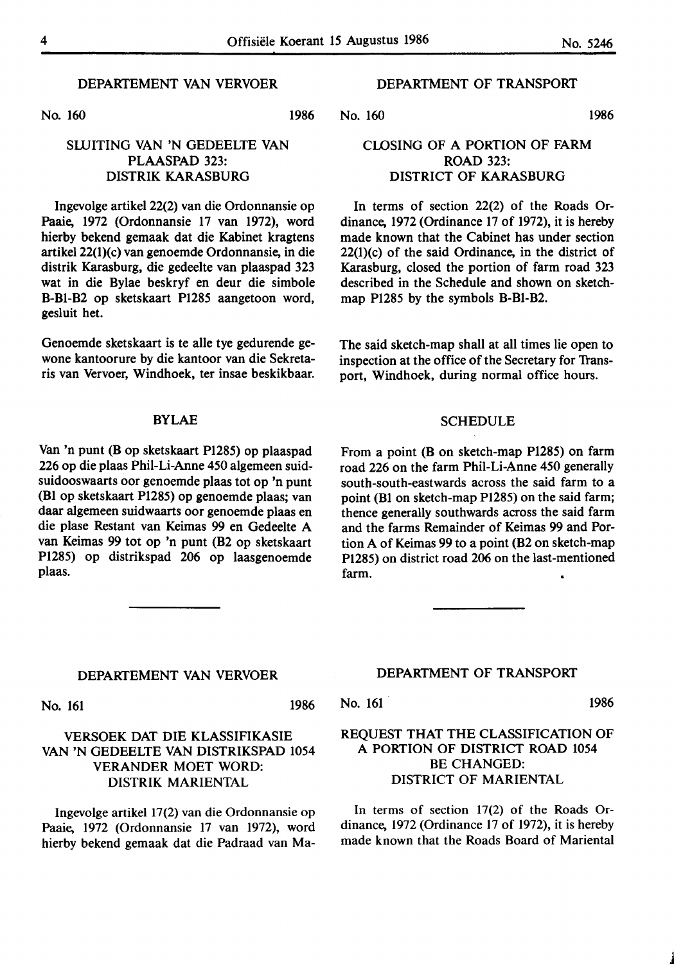# DEPARTEMENT VAN VERVOER

No. 160

1986

# SWITING VAN 'N GEDEELTE VAN PLAASPAD 323: **DISTRIK KARASBURG**

lngevolge artikel 22(2) van die Ordonnansie op Paaie, 1972 (Ordonnansie 17 van 1972), word hierby bekend gemaak dat die Kabinet kragtens artikel 22(1)(c) van genoemde Ordonnansie, in die distrik Karasburg, die gedeelte van plaaspad 323 wat in die Bylae beskryf en deur die simbole B-Bl-B2 op sketskaart P1285 aangetoon word, gesluit bet.

Genoemde sketskaart is te alle tye gedurende gewone kantoorure by die kantoor van die Sekretaris van Vervoer, Windhoek, ter insae beskikbaar.

#### BYLAE

Van 'n punt (B op sketskaart P1285) op plaaspad 226 op die plaas Phil-Li-Anne 450 algemeen suid,. suidooswaarts oor genoemde plaas tot op 'n punt (Bl op sketskaart Pl285) op genoemde plaas; van daar algemeen suidwaarts oor genoemde plaas en die plase Restant van Keimas 99 en Gedeelte A van Keimas 99 tot op 'n punt (B2 op sketskaart Pl285) op distrikspad 206 op laasgenoemde plaas.

# DEPARTMENT OF TRANSPORT

No. 160 1986

# CLOSING OF A PORTION OF FARM ROAD 323: DISTRICT OF **KARASBURG**

In terms of section 22(2) of the Roads Ordinance, 1972 (Ordinance 17 of 1972), it is hereby made known that the Cabinet has under section 22(1)(c) of the said Ordinance, in the district of Karasburg, closed the portion of farm road 323 described in the Schedule and shown on sketchmap Pl285 by the symbols B-Bl-B2.

The said sketch-map shall at all times lie open to inspection at the office of the Secretary for Transport, **Windhoek,** during normal office hours.

#### SCHEDULE

From a point (B on sketch-map Pl285) on farm road 226 on the farm Phil-Li-Anne 450 generally south-south-eastwards across the said farm to a point (Bl on sketch-map P1285) on the said farm; thence generally southwards across the said farm and the farms Remainder of Keimas 99 and Portion A of Keimas 99 to a point (B2 on sketch-map P1285) on district road 206 on the last-mentioned farm.

#### **DEPARTEMENT VAN VERVOER**

No. 161 1986

# **VERSOEK DAT DIE KLASSIFIKASIE VAN 'N** GEDEELTE **VAN DISTRIKSPAD** 1054 **VERANDER MOET WORD: DISTRIK MARIENTAL**

**lngevolge artikel** 17(2) **van die Ordonnansie** op **Paaie, 1972** (Ordonnansie 17 van 1972), word hierby **bekend gemaak dat die Padraad** van Ma-

## **DEPARTMENT** OF **TRANSPORT**

No. 161 1986

# REQUEST THAT THE CLASSIFICATION OF A PORTION OF DISTRICT ROAD 1054 BE CHANGED: DISTRICT OF MARIENTAL

In terms of section 17(2) of the Roads Ordinance, 1972 (Ordinance 17 of 1972), it is hereby made known that the Roads Board of Mariental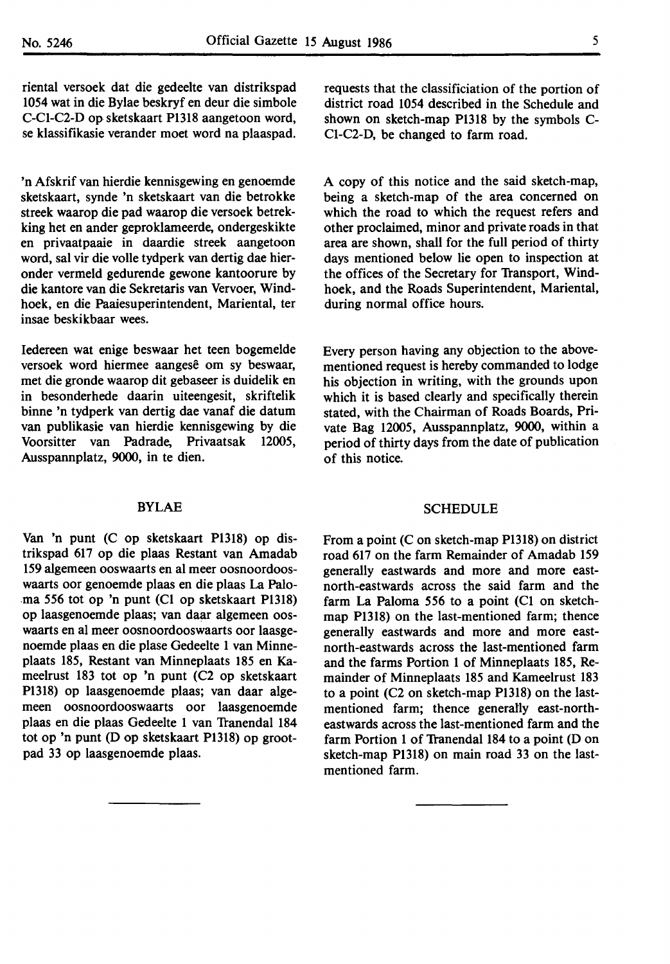riental versoek dat die gedeelte van distrikspad 1054 wat in die Bylae beskryf en deur die simbole C-Cl-C2-D op sketskaart Pl318 aangetoon word, se klassifikasie verander moet word na plaaspad.

'n Afskrif van hierdie kennisgewing en genoemde sketskaart, synde 'n sketskaart van die betrokke streek waarop die pad waarop die versoek betrekking het en ander geproklameerde, ondergeskikte en privaatpaaie in daardie streek aangetoon word, sal vir die voile tydperk van dertig dae hieronder vermeld gedurende gewone kantoorure by die kantore van die Sekretaris van Vervoer, Windhoek, en die Paaiesuperintendent, Mariental, ter insae beskikbaar wees.

Iedereen wat enige beswaar het teen bogemelde versoek word hiermee aangesê om sy beswaar, met die gronde waarop dit gebaseer is duidelik en in besonderhede daarin uiteengesit, skriftelik binne 'n tydperk van dertig dae vanaf die datum van publikasie van hierdie kennisgewing by die Voorsitter van Padrade, Privaatsak 12005, Ausspannplatz, 9000, in te dien.

#### BYLAE

Van 'n punt (C op sketskaart Pl318) op distrikspad 617 op die plaas Restant van Amadab 159 algemeen ooswaarts en al meer oosnoordooswaarts oor genoemde plaas en die plaas La Palo- .ma *556* tot op 'n punt (Cl op sketskaart Pl318) op laasgenoemde plaas; van daar algemeen ooswaarts en al meer oosnoordooswaarts oor laasgenoemde plaas en die plase Gedeelte 1 van Minneplaats 185, Restant van Minneplaats 185 en Kameelrust 183 tot op 'n punt (C2 op sketskaart Pl318) op laasgenoemde plaas; van daar algemeen oosnoordooswaarts oor laasgenoemde plaas en die plaas Gedeelte 1 van Tranendal 184 tot op 'n punt (D op sketskaart Pl318) op grootpad 33 op laasgenoemde plaas.

requests that the classificiation of the portion of district road 1054 described in the Schedule and shown on sketch-map Pl318 by the symbols C-Cl-C2-D, be changed to farm road.

A copy of this notice and the said sketch-map, being a sketch-map of the area concerned on which the road to which the request refers and other proclaimed, minor and private roads in that area are shown, shall for the full period of thirty days mentioned below lie open to inspection at the offices of the Secretary for Transport, Windhoek, and the Roads Superintendent, Mariental, during normal office hours.

Every person having any objection to the abovementioned request is hereby commanded to lodge his objection in writing, with the grounds upon which it is based clearly and specifically therein stated, with the Chairman of Roads Boards, Private Bag 12005, Ausspannplatz, 9000, within a period of thirty days from the date of publication of this notice.

#### SCHEDULE

From a point (C on sketch-map Pl318) on district road 617 on the farm Remainder of Amadab 159 generally eastwards and more and more eastnorth-eastwards across the said farm and the farm La Paloma *556* to a point (Cl on sketchmap Pl318) on the last-mentioned farm; thence generally eastwards and more and more eastnorth-eastwards across the last-mentioned farm and the farms Portion 1 of Minneplaats 185, Remainder of Minneplaats 185 and Kameelrust 183 to a point (C2 on sketch-map Pl318) on the lastmentioned farm; thence generatly east-northeastwards across the last-mentioned farm and the farm Portion 1 of Tranendal 184 to a point (D on sketch-map P1318) on main road 33 on the lastmentioned farm.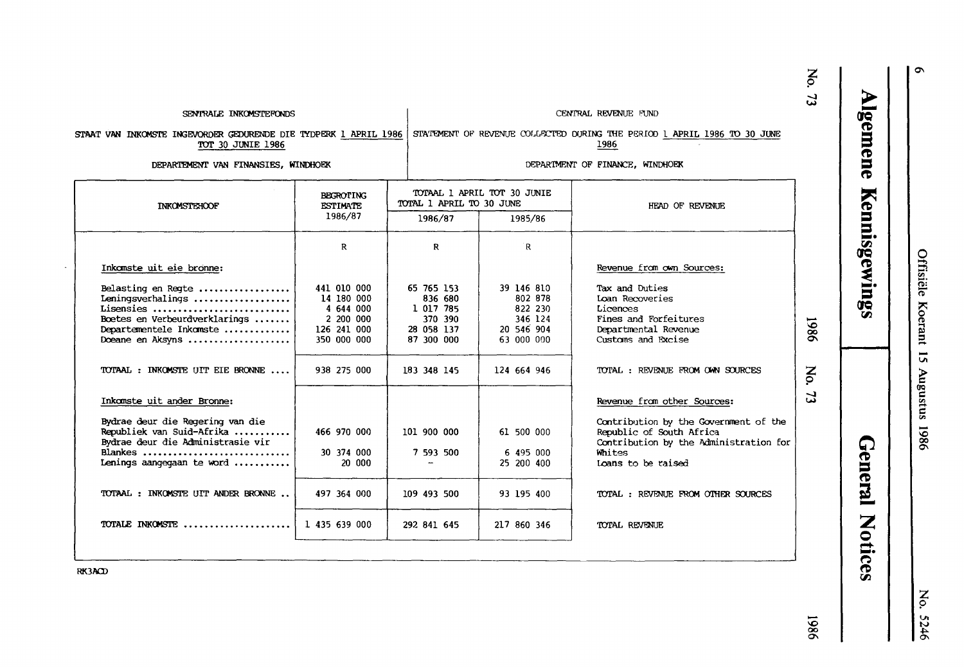|                                                                                                                                                                          |                                                                                   |                                                                                  |                                                                         |                                                                                                                                                                            | No.<br>$\mathbf{r}$ |  |
|--------------------------------------------------------------------------------------------------------------------------------------------------------------------------|-----------------------------------------------------------------------------------|----------------------------------------------------------------------------------|-------------------------------------------------------------------------|----------------------------------------------------------------------------------------------------------------------------------------------------------------------------|---------------------|--|
| SENTRALE INKOMSTEFONDS                                                                                                                                                   |                                                                                   |                                                                                  | CENTRAL REVENUE FUND                                                    |                                                                                                                                                                            |                     |  |
| STAAT VAN INKOMSTE INGEVORDER GEDURENDE DIE TYDPERK 1 APRIL 1986<br>TOT 30 JUNIE 1986                                                                                    |                                                                                   | STATEMENT OF REVENUE COLLECTED DURING THE PERIOD 1 APRIL 1986 TO 30 JUNE<br>1986 |                                                                         |                                                                                                                                                                            |                     |  |
| DEPARTEMENT VAN FINANSIES, WINDHOEK                                                                                                                                      |                                                                                   |                                                                                  |                                                                         | DEPARTMENT OF FINANCE, WINDHOEK                                                                                                                                            |                     |  |
| <b>INKOMSTEHOOF</b>                                                                                                                                                      | <b>BEGROTING</b><br><b>ESTIMATE</b>                                               | TOTAL 1 APRIL TO 30 JUNE                                                         | TOTAAL 1 APRIL TOT 30 JUNIE                                             | HEAD OF REVENUE                                                                                                                                                            |                     |  |
|                                                                                                                                                                          | 1986/87                                                                           | 1986/87                                                                          | 1985/86                                                                 |                                                                                                                                                                            |                     |  |
|                                                                                                                                                                          | R                                                                                 | R                                                                                | R                                                                       |                                                                                                                                                                            |                     |  |
| Inkamste uit eie bronne:                                                                                                                                                 |                                                                                   |                                                                                  |                                                                         | Revenue from own Sources:                                                                                                                                                  |                     |  |
| Belasting en Regte<br>Leningsverhalings<br>Lisensies<br>Boetes en Verbeurdverklarings<br>Departementele Inkomste<br>Doeane en Aksyns                                     | 441 010 000<br>14 180 000<br>4 644 000<br>2 200 000<br>126 241 000<br>350 000 000 | 65 765 153<br>836 680<br>1 017 785<br>370 390<br>28 058 137<br>87 300 000        | 39 146 810<br>802 878<br>822 230<br>346 124<br>20 546 904<br>63 000 000 | Tax and Duties<br>Loan Recoveries<br>Licences<br>Fines and Forfeitures<br>Departmental Revenue<br>Customs and Excise                                                       | 9861                |  |
| TOTAAL: INKOMSTE UIT EIE BRONNE                                                                                                                                          | 938 275 000                                                                       | 183 348 145                                                                      | 124 664 946                                                             | TOTAL: REVENUE FROM OWN SOURCES                                                                                                                                            | No.                 |  |
| Inkomste uit ander Bronne:<br>Bydrae deur die Regering van die<br>Republiek van Suid-Afrika<br>Bydrae deur die Administrasie vir<br>Blankes<br>Lenings aangegaan te word | 466 970 000<br>30 374 000<br>20 000                                               | 101 900 000<br>7 593 500                                                         | 61 500 000<br>6 495 000<br>25 200 400                                   | Revenue from other Sources:<br>Contribution by the Government of the<br>Republic of South Africa<br>Contribution by the Administration for<br>Whites<br>Loans to be raised | 5                   |  |
| TOTAAL: INKOMSTE UIT ANDER BRONNE                                                                                                                                        | 497 364 000                                                                       | 109 493 500                                                                      | 93 195 400                                                              | TOTAL: REVENUE FROM OTHER SOURCES                                                                                                                                          |                     |  |
| TOTALE INKOMSTE                                                                                                                                                          | 1 435 639 000                                                                     | 292 841 645                                                                      | 217 860 346                                                             | TOTAL REVENUE                                                                                                                                                              |                     |  |
|                                                                                                                                                                          |                                                                                   |                                                                                  |                                                                         |                                                                                                                                                                            |                     |  |

**Algemene** 

Kennisgewings

Offisiële Koerant 15 Augustus 1986

 $\circ$ 

 $\blacksquare$ 

No. 5246

9861

**RK3ACD** 

 $\ddot{\phantom{a}}$ 

- General Notices
-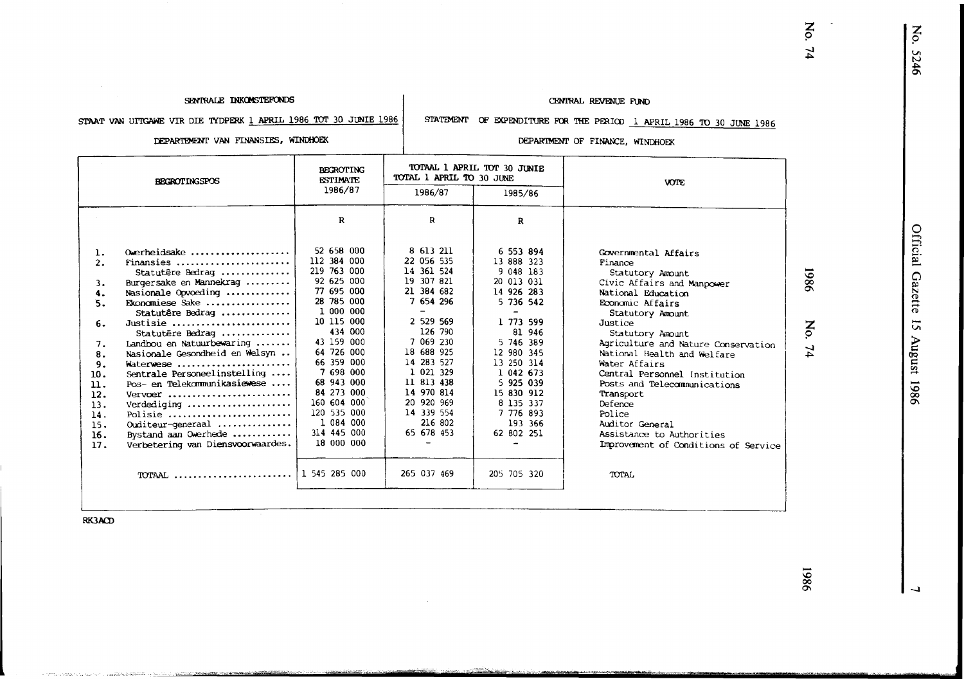No. 5246

No.

 $74$ 

#### SENTRALE INKOMSTEFONDS

#### CENTRAL REVENUE FUND

STAAT VAN UITGAWE VIR DIE TYDPERK 1 APRIL 1986 TOT 30 JUNIE 1986

# STATEMENT OF EXPENDITURE FOR THE PERIOD 1 APRIL 1986 TO 30 JUNE 1986

DEPARTEMENT VAN FINANSIES, WINDHOEK

#### DEPARTMENT OF FINANCE, WINDHOEK

| <b>BECROTINGSPOS</b>                                                                                                  |                                                                                                                                                                                                                                                                                                                                                                                                                                              | <b>BECROTING</b><br><b>ESTIMATE</b>                                                                                                                                                                                                                                                 | TOTAL 1 APRIL TO 30 JUNE                                                                                                                                                                                                                      | TOTAAL 1 APRIL TOT 30 JUNIE                                                                                                                                                                                                              | <b>VOTE</b>                                                                                                                                                                                                                                                                                                                                                                                                                                                      |                   |
|-----------------------------------------------------------------------------------------------------------------------|----------------------------------------------------------------------------------------------------------------------------------------------------------------------------------------------------------------------------------------------------------------------------------------------------------------------------------------------------------------------------------------------------------------------------------------------|-------------------------------------------------------------------------------------------------------------------------------------------------------------------------------------------------------------------------------------------------------------------------------------|-----------------------------------------------------------------------------------------------------------------------------------------------------------------------------------------------------------------------------------------------|------------------------------------------------------------------------------------------------------------------------------------------------------------------------------------------------------------------------------------------|------------------------------------------------------------------------------------------------------------------------------------------------------------------------------------------------------------------------------------------------------------------------------------------------------------------------------------------------------------------------------------------------------------------------------------------------------------------|-------------------|
|                                                                                                                       |                                                                                                                                                                                                                                                                                                                                                                                                                                              | 1986/87                                                                                                                                                                                                                                                                             | 1986/87                                                                                                                                                                                                                                       | 1985/86                                                                                                                                                                                                                                  |                                                                                                                                                                                                                                                                                                                                                                                                                                                                  |                   |
|                                                                                                                       |                                                                                                                                                                                                                                                                                                                                                                                                                                              | R                                                                                                                                                                                                                                                                                   | R                                                                                                                                                                                                                                             | R                                                                                                                                                                                                                                        |                                                                                                                                                                                                                                                                                                                                                                                                                                                                  |                   |
| 1.<br>2.<br>3.<br>4.<br>5.<br>6.<br>7.<br>8.<br>9.<br>10.<br>$\mathbf{u}$ .<br>12.<br>13.<br>14.<br>15.<br>16.<br>17. | $0$ werheidsake<br>Finansies<br>Statutêre Bedrag<br>Burgersake en Mannekrag<br>Nasionale Opvoeding<br>Ekonomiese Sake<br>Statutêre Bedrag<br>Justisie<br>Statutêre Bedrag<br>Landbou en Natuurbewaring<br>Nasionale Gesondheid en Welsyn<br>Waterwese<br>Sentrale Personeelinstelling<br>Pos- en Telekommunikasiewese<br>Vervoer<br>Verdediging<br>Polisie<br>Ouditeur-generaal<br>Bystand aan Owerhede<br>Verbetering van Diensvoorwaardes. | 52 658 000<br>112 384 000<br>219 763 000<br>92 625 000<br>77 695 000<br>28 785 000<br>1 000 000<br>10 115 000<br>434 000<br>43 159 000<br>64 726 000<br>66 359 000<br>7 698 000<br>68 943 000<br>84 273 000<br>160 604 000<br>120 535 000<br>1 084 000<br>314 445 000<br>18 000 000 | 8 613 211<br>22 056 535<br>14 361 524<br>19 307 821<br>21 384 682<br>7 654 296<br>2 529 569<br>126 790<br>7 069 230<br>18 688 925<br>14 283 527<br>1 021 329<br>11 813 438<br>14 970 814<br>20 920 969<br>14 339 554<br>216 802<br>65 678 453 | 6 553 894<br>13 888 323<br>9 048 183<br>20 013 031<br>14 926 283<br>5 736 542<br>1 773 599<br>81 946<br>5 746 389<br>12 980 345<br>13 250 314<br>1 042 673<br>5 925 039<br>15 830 912<br>8 135 337<br>7 776 893<br>193 366<br>62 802 251 | Governmental Affairs<br>Finance<br>Statutory Amount<br>Civic Affairs and Manpower<br>National Education<br>Economic Affairs<br>Statutory Amount<br>Justice<br>Statutory Amount<br>Agriculture and Nature Conservation<br>National Health and Welfare<br>Water Affairs<br>Central Personnel Institution<br>Posts and Telecommunications<br>Transport<br>Defence<br>Police<br>Auditor General<br>Assistance to Authorities<br>Improvement of Conditions of Service | 1986<br>No.<br>74 |
|                                                                                                                       | TOTAAL                                                                                                                                                                                                                                                                                                                                                                                                                                       | 1 545 285 000                                                                                                                                                                                                                                                                       | 265 037 469                                                                                                                                                                                                                                   | 205 705 320                                                                                                                                                                                                                              | <b>TOTAL</b>                                                                                                                                                                                                                                                                                                                                                                                                                                                     |                   |
|                                                                                                                       |                                                                                                                                                                                                                                                                                                                                                                                                                                              |                                                                                                                                                                                                                                                                                     |                                                                                                                                                                                                                                               |                                                                                                                                                                                                                                          |                                                                                                                                                                                                                                                                                                                                                                                                                                                                  |                   |

<u> Thomas Andrew Martin (1999)</u>

**RK3ACD** 

THE CONSTRUCTION OF THE CONSTRUCTION OF THE CONSTRUCTION OF THE CONSTRUCTION OF THE CONSTRUCTION OF THE CONSTRUCTION OF THE CONSTRUCTION OF THE CONSTRUCTION OF THE CONSTRUCTION OF THE CONSTRUCTION OF THE CONSTRUCTION OF TH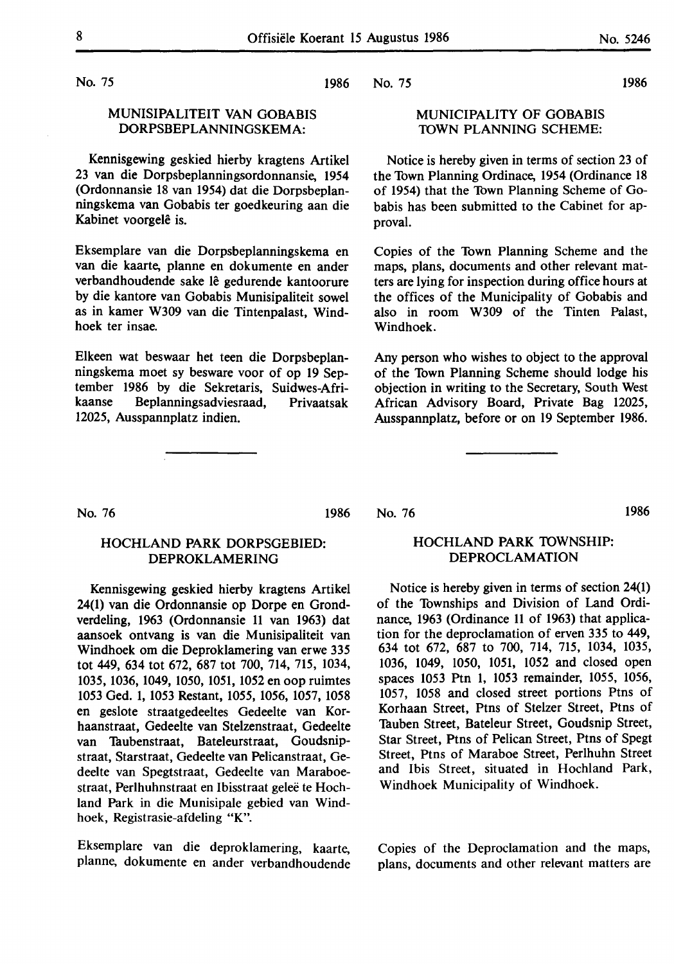No. 75

# MUNISIPALITEIT VAN GOBABIS DORPSBEPLANNINGSKEMA:

Kennisgewing geskied hierby kragtens Artikel 23 van die Dorpsbeplanningsordonnansie, 1954 (Ordonnansie 18 van 1954) dat die Dorpsbeplanningskema van Gobabis ter goedkeuring aan die Kabinet voorgelê is.

Eksemplare van die Dorpsbeplanningskema en van die kaarte, planne en dokumente en ander verbandhoudende sake le gedurende kantoorure by die kantore van Gobabis Munisipaliteit sowel as in kamer W309 van die Tintenpalast, Windhoek ter insae.

Elkeen wat beswaar het teen die Dorpsbeplanningskema moet sy besware voor of op 19 September 1986 by die Sekretaris, Suidwes-Afrikaanse Beplanningsadviesraad, Privaatsak 12025, Ausspannplatz indien.

1986 No. 75

# MUNICIPALITY OF GOBABIS **TOWN PLANNING** SCHEME:

Notice is hereby given in terms of section 23 of the Town Planning Ordinace, 1954 (Ordinance 18 of 1954) that the Town Planning Scheme of Gobabis has been submitted to the Cabinet for approval.

Copies of the Town Planning Scheme and the maps, plans, documents and other relevant matters are lying for inspection during office hours at the offices of the Municipality of Gobabis and also in room W309 of the Tinten Palast, Windhoek.

Any person who wishes to object to the approval of the Town Planning Scheme should lodge his objection in writing to the Secretary, South West African Advisory Board, Private Bag 12025, Ausspannplatz, before or on 19 September 1986.

No. 76 1986

# HOCHLAND **PARK** DORPSGEBIED: **DEPROKLAMERING**

Kennisgewing geskied hierby kragtens Artikel 24(1) van die Ordonnansie op Dorpe en Grondverdeling, 1963 (Ordonnansie 11 van 1963) dat aansoek ontvang is van die Munisipaliteit van Windhoek om die Deproklamering van erwe 335 tot 449, 634 tot 672, 687 tot 700, 714, 715, 1034, 1035, 1036, 1049, 1050, 1051, 1052 en oop ruimtes 1053 Ged. 1, 1053 Restant, 1055, 1056, 1057, 1058 en geslote straatgedeeltes Gedeelte van Korhaanstraat, Gedeelte van Stelzenstraat, Gedeelte van Tuubenstraat, Bateleurstraat, Goudsnipstraat, Starstraat, Gedeelte van Pelicanstraat, Gedeelte van Spegtstraat, Gedeelte van Maraboestraat, Perlhuhnstraat en Ibisstraat geleë te Hochland Park in die Munisipale gebied van Windhoek, Registrasie-afdeling **"K".** 

Eksemplare van die deproklamering, kaarte, planne, dokumente en ander verbandhoudende No. 76 1986

# HOCHLAND **PARK** TOWNSHIP: DEPROCLAMATION

Notice is hereby given in terms of section 24(1) of the Townships and Division of Land Ordinance, 1963 (Ordinance 11 of 1963) that application for the deproclamation of erven 335 to 449, 634 tot 672, 687 to 700, 714, 715, 1034, 1035, 1036, 1049, 1050, 1051, 1052 and closed open spaces 1053 Ptn 1, 1053 remainder, 1055, 1056, 1057, 1058 and closed street portions Ptns of Korhaan Street, Ptns of Stelzer Street, Ptns of Tuuben Street, Bateleur Street, Goudsnip Street, Star Street, Ptns of Pelican Street, Ptns of Spegt Street, Ptns of Maraboe Street, Perlhuhn Street and Ibis Street, situated in Hochland Park, Windhoek Municipality of Windhoek.

Copies of the Deproclamation and the maps, plans, documents and other relevant matters are

1986